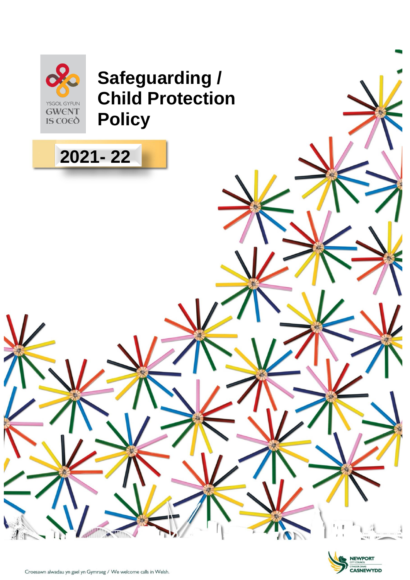

**2021- 22**

# **Safeguarding / Child Protection Policy**



NI

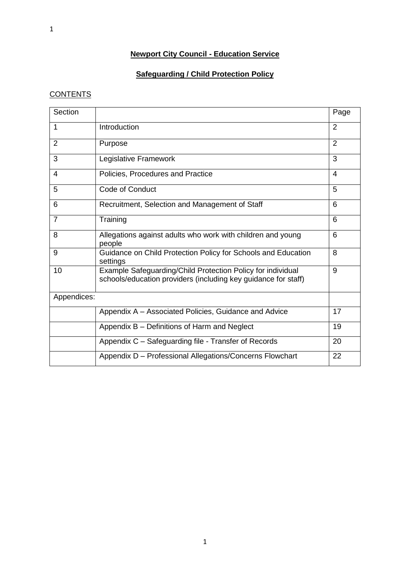# **Newport City Council - Education Service**

# **Safeguarding / Child Protection Policy**

# **CONTENTS**

| Section        |                                                                                                                               | Page           |
|----------------|-------------------------------------------------------------------------------------------------------------------------------|----------------|
| 1              | Introduction                                                                                                                  | $\overline{2}$ |
| $\overline{2}$ | Purpose                                                                                                                       | $\overline{2}$ |
| 3              | Legislative Framework                                                                                                         | 3              |
| 4              | Policies, Procedures and Practice                                                                                             | 4              |
| 5              | Code of Conduct                                                                                                               | 5              |
| 6              | Recruitment, Selection and Management of Staff                                                                                | 6              |
| $\overline{7}$ | Training                                                                                                                      | 6              |
| 8              | Allegations against adults who work with children and young<br>people                                                         | 6              |
| 9              | Guidance on Child Protection Policy for Schools and Education<br>settings                                                     | 8              |
| 10             | Example Safeguarding/Child Protection Policy for individual<br>schools/education providers (including key guidance for staff) | 9              |
| Appendices:    |                                                                                                                               |                |
|                | Appendix A – Associated Policies, Guidance and Advice                                                                         | 17             |
|                | Appendix B - Definitions of Harm and Neglect                                                                                  | 19             |
|                | Appendix C - Safeguarding file - Transfer of Records                                                                          | 20             |
|                | Appendix D - Professional Allegations/Concerns Flowchart                                                                      | 22             |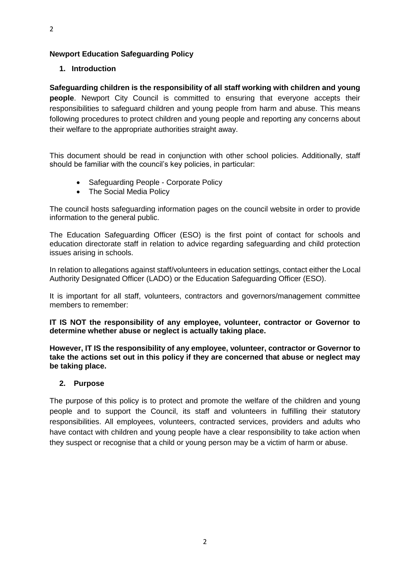#### **Newport Education Safeguarding Policy**

#### **1. Introduction**

**Safeguarding children is the responsibility of all staff working with children and young people**. Newport City Council is committed to ensuring that everyone accepts their responsibilities to safeguard children and young people from harm and abuse. This means following procedures to protect children and young people and reporting any concerns about their welfare to the appropriate authorities straight away.

This document should be read in conjunction with other school policies. Additionally, staff should be familiar with the council's key policies, in particular:

- Safeguarding People Corporate Policy
- The Social Media Policy

The council hosts safeguarding information pages on the council website in order to provide information to the general public.

The Education Safeguarding Officer (ESO) is the first point of contact for schools and education directorate staff in relation to advice regarding safeguarding and child protection issues arising in schools.

In relation to allegations against staff/volunteers in education settings, contact either the Local Authority Designated Officer (LADO) or the Education Safeguarding Officer (ESO).

It is important for all staff, volunteers, contractors and governors/management committee members to remember:

**IT IS NOT the responsibility of any employee, volunteer, contractor or Governor to determine whether abuse or neglect is actually taking place.**

**However, IT IS the responsibility of any employee, volunteer, contractor or Governor to take the actions set out in this policy if they are concerned that abuse or neglect may be taking place.**

#### **2. Purpose**

The purpose of this policy is to protect and promote the welfare of the children and young people and to support the Council, its staff and volunteers in fulfilling their statutory responsibilities. All employees, volunteers, contracted services, providers and adults who have contact with children and young people have a clear responsibility to take action when they suspect or recognise that a child or young person may be a victim of harm or abuse.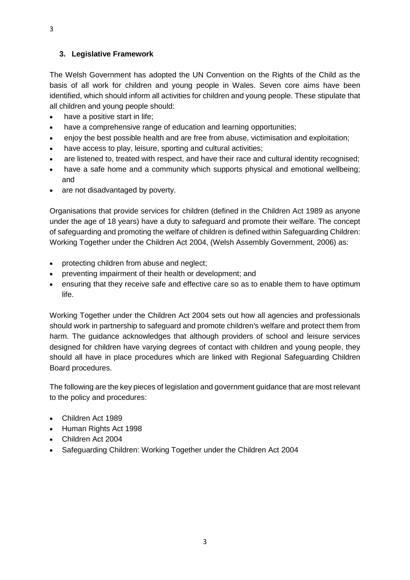3

## **3. Legislative Framework**

The Welsh Government has adopted the UN Convention on the Rights of the Child as the basis of all work for children and young people in Wales. Seven core aims have been identified, which should inform all activities for children and young people. These stipulate that all children and young people should:

- have a positive start in life;
- have a comprehensive range of education and learning opportunities;
- enjoy the best possible health and are free from abuse, victimisation and exploitation;
- have access to play, leisure, sporting and cultural activities;
- are listened to, treated with respect, and have their race and cultural identity recognised;
- have a safe home and a community which supports physical and emotional wellbeing; and
- are not disadvantaged by poverty.

Organisations that provide services for children (defined in the Children Act 1989 as anyone under the age of 18 years) have a duty to safeguard and promote their welfare. The concept of safeguarding and promoting the welfare of children is defined within Safeguarding Children: Working Together under the Children Act 2004, (Welsh Assembly Government, 2006) as:

- protecting children from abuse and neglect;
- preventing impairment of their health or development; and
- ensuring that they receive safe and effective care so as to enable them to have optimum life.

Working Together under the Children Act 2004 sets out how all agencies and professionals should work in partnership to safeguard and promote children's welfare and protect them from harm. The guidance acknowledges that although providers of school and leisure services designed for children have varying degrees of contact with children and young people, they should all have in place procedures which are linked with Regional Safeguarding Children Board procedures.

The following are the key pieces of legislation and government guidance that are most relevant to the policy and procedures:

- Children Act 1989
- Human Rights Act 1998
- Children Act 2004
- Safeguarding Children: Working Together under the Children Act 2004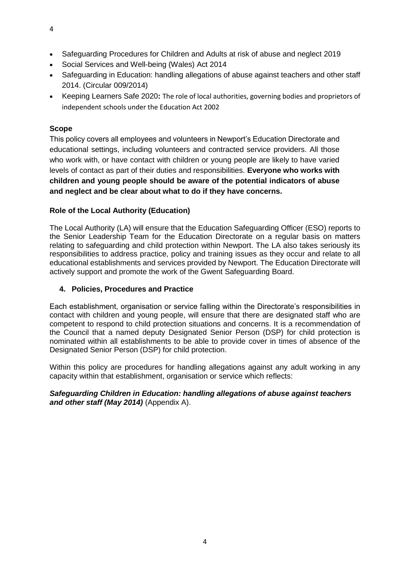- Safeguarding Procedures for Children and Adults at risk of abuse and neglect 2019
- Social Services and Well-being (Wales) Act 2014
- Safeguarding in Education: handling allegations of abuse against teachers and other staff 2014. (Circular 009/2014)
- Keeping Learners Safe 2020**:** The role of local authorities, governing bodies and proprietors of independent schools under the Education Act 2002

#### **Scope**

This policy covers all employees and volunteers in Newport's Education Directorate and educational settings, including volunteers and contracted service providers. All those who work with, or have contact with children or young people are likely to have varied levels of contact as part of their duties and responsibilities. **Everyone who works with children and young people should be aware of the potential indicators of abuse and neglect and be clear about what to do if they have concerns.**

#### **Role of the Local Authority (Education)**

The Local Authority (LA) will ensure that the Education Safeguarding Officer (ESO) reports to the Senior Leadership Team for the Education Directorate on a regular basis on matters relating to safeguarding and child protection within Newport. The LA also takes seriously its responsibilities to address practice, policy and training issues as they occur and relate to all educational establishments and services provided by Newport. The Education Directorate will actively support and promote the work of the Gwent Safeguarding Board.

#### **4. Policies, Procedures and Practice**

Each establishment, organisation or service falling within the Directorate's responsibilities in contact with children and young people, will ensure that there are designated staff who are competent to respond to child protection situations and concerns. It is a recommendation of the Council that a named deputy Designated Senior Person (DSP) for child protection is nominated within all establishments to be able to provide cover in times of absence of the Designated Senior Person (DSP) for child protection.

Within this policy are procedures for handling allegations against any adult working in any capacity within that establishment, organisation or service which reflects:

#### *Safeguarding Children in Education: handling allegations of abuse against teachers and other staff (May 2014)* (Appendix A).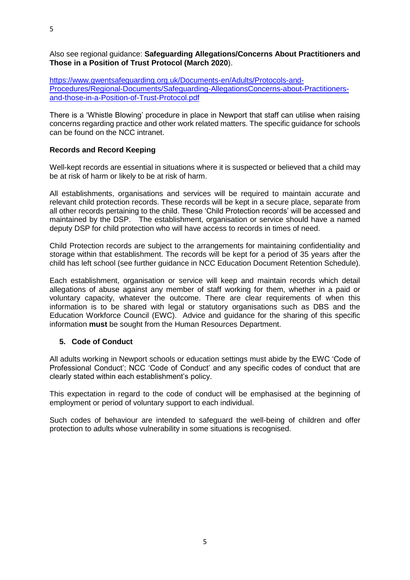Also see regional guidance: **Safeguarding Allegations/Concerns About Practitioners and Those in a Position of Trust Protocol (March 2020**).

[https://www.gwentsafeguarding.org.uk/Documents-en/Adults/Protocols-and-](https://www.gwentsafeguarding.org.uk/Documents-en/Adults/Protocols-and-Procedures/Regional-Documents/Safeguarding-AllegationsConcerns-about-Practitioners-and-those-in-a-Position-of-Trust-Protocol.pdf)[Procedures/Regional-Documents/Safeguarding-AllegationsConcerns-about-Practitioners](https://www.gwentsafeguarding.org.uk/Documents-en/Adults/Protocols-and-Procedures/Regional-Documents/Safeguarding-AllegationsConcerns-about-Practitioners-and-those-in-a-Position-of-Trust-Protocol.pdf)[and-those-in-a-Position-of-Trust-Protocol.pdf](https://www.gwentsafeguarding.org.uk/Documents-en/Adults/Protocols-and-Procedures/Regional-Documents/Safeguarding-AllegationsConcerns-about-Practitioners-and-those-in-a-Position-of-Trust-Protocol.pdf)

There is a 'Whistle Blowing' procedure in place in Newport that staff can utilise when raising concerns regarding practice and other work related matters. The specific guidance for schools can be found on the NCC intranet.

#### **Records and Record Keeping**

Well-kept records are essential in situations where it is suspected or believed that a child may be at risk of harm or likely to be at risk of harm.

All establishments, organisations and services will be required to maintain accurate and relevant child protection records. These records will be kept in a secure place, separate from all other records pertaining to the child. These 'Child Protection records' will be accessed and maintained by the DSP. The establishment, organisation or service should have a named deputy DSP for child protection who will have access to records in times of need.

Child Protection records are subject to the arrangements for maintaining confidentiality and storage within that establishment. The records will be kept for a period of 35 years after the child has left school (see further guidance in NCC Education Document Retention Schedule).

Each establishment, organisation or service will keep and maintain records which detail allegations of abuse against any member of staff working for them, whether in a paid or voluntary capacity, whatever the outcome. There are clear requirements of when this information is to be shared with legal or statutory organisations such as DBS and the Education Workforce Council (EWC). Advice and guidance for the sharing of this specific information **must** be sought from the Human Resources Department.

#### **5. Code of Conduct**

All adults working in Newport schools or education settings must abide by the EWC 'Code of Professional Conduct'; NCC 'Code of Conduct' and any specific codes of conduct that are clearly stated within each establishment's policy.

This expectation in regard to the code of conduct will be emphasised at the beginning of employment or period of voluntary support to each individual.

Such codes of behaviour are intended to safeguard the well-being of children and offer protection to adults whose vulnerability in some situations is recognised.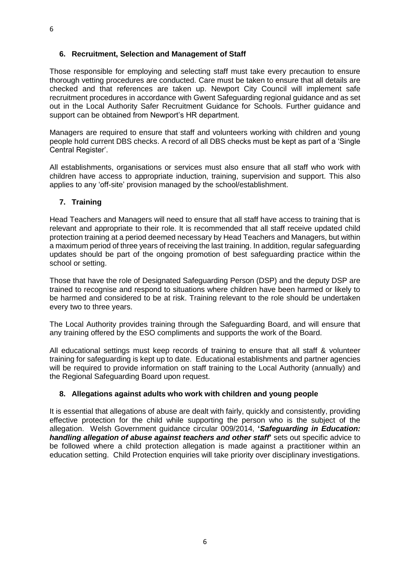#### **6. Recruitment, Selection and Management of Staff**

Those responsible for employing and selecting staff must take every precaution to ensure thorough vetting procedures are conducted. Care must be taken to ensure that all details are checked and that references are taken up. Newport City Council will implement safe recruitment procedures in accordance with Gwent Safeguarding regional guidance and as set out in the Local Authority Safer Recruitment Guidance for Schools. Further guidance and support can be obtained from Newport's HR department.

Managers are required to ensure that staff and volunteers working with children and young people hold current DBS checks. A record of all DBS checks must be kept as part of a 'Single Central Register'.

All establishments, organisations or services must also ensure that all staff who work with children have access to appropriate induction, training, supervision and support. This also applies to any 'off-site' provision managed by the school/establishment.

#### **7. Training**

Head Teachers and Managers will need to ensure that all staff have access to training that is relevant and appropriate to their role. It is recommended that all staff receive updated child protection training at a period deemed necessary by Head Teachers and Managers, but within a maximum period of three years of receiving the last training. In addition, regular safeguarding updates should be part of the ongoing promotion of best safeguarding practice within the school or setting.

Those that have the role of Designated Safeguarding Person (DSP) and the deputy DSP are trained to recognise and respond to situations where children have been harmed or likely to be harmed and considered to be at risk. Training relevant to the role should be undertaken every two to three years.

The Local Authority provides training through the Safeguarding Board, and will ensure that any training offered by the ESO compliments and supports the work of the Board.

All educational settings must keep records of training to ensure that all staff & volunteer training for safeguarding is kept up to date. Educational establishments and partner agencies will be required to provide information on staff training to the Local Authority (annually) and the Regional Safeguarding Board upon request.

#### **8. Allegations against adults who work with children and young people**

It is essential that allegations of abuse are dealt with fairly, quickly and consistently, providing effective protection for the child while supporting the person who is the subject of the allegation. Welsh Government guidance circular 009/2014, **'***Safeguarding in Education: handling allegation of abuse against teachers and other staff***'** sets out specific advice to be followed where a child protection allegation is made against a practitioner within an education setting. Child Protection enquiries will take priority over disciplinary investigations.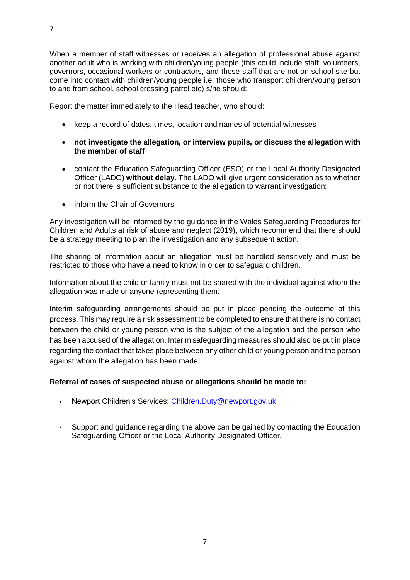When a member of staff witnesses or receives an allegation of professional abuse against another adult who is working with children/young people (this could include staff, volunteers, governors, occasional workers or contractors, and those staff that are not on school site but come into contact with children/young people i.e. those who transport children/young person to and from school, school crossing patrol etc) s/he should:

Report the matter immediately to the Head teacher, who should:

- keep a record of dates, times, location and names of potential witnesses
- **not investigate the allegation, or interview pupils, or discuss the allegation with the member of staff**
- contact the Education Safeguarding Officer (ESO) or the Local Authority Designated Officer (LADO) **without delay**. The LADO will give urgent consideration as to whether or not there is sufficient substance to the allegation to warrant investigation:
- inform the Chair of Governors

Any investigation will be informed by the guidance in the Wales Safeguarding Procedures for Children and Adults at risk of abuse and neglect (2019), which recommend that there should be a strategy meeting to plan the investigation and any subsequent action.

The sharing of information about an allegation must be handled sensitively and must be restricted to those who have a need to know in order to safeguard children.

Information about the child or family must not be shared with the individual against whom the allegation was made or anyone representing them.

Interim safeguarding arrangements should be put in place pending the outcome of this process. This may require a risk assessment to be completed to ensure that there is no contact between the child or young person who is the subject of the allegation and the person who has been accused of the allegation. Interim safeguarding measures should also be put in place regarding the contact that takes place between any other child or young person and the person against whom the allegation has been made.

#### **Referral of cases of suspected abuse or allegations should be made to:**

- Newport Children's Services: [Children.Duty@newport.gov.uk](mailto:Children.Duty@newport.gov.uk)
- Support and guidance regarding the above can be gained by contacting the Education Safeguarding Officer or the Local Authority Designated Officer.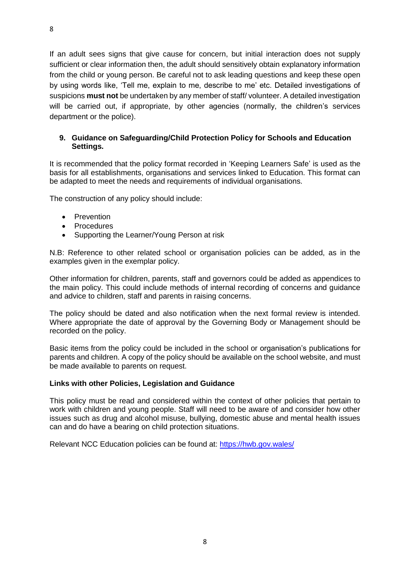If an adult sees signs that give cause for concern, but initial interaction does not supply sufficient or clear information then, the adult should sensitively obtain explanatory information from the child or young person. Be careful not to ask leading questions and keep these open by using words like, 'Tell me, explain to me, describe to me' etc. Detailed investigations of suspicions **must not** be undertaken by any member of staff/ volunteer. A detailed investigation will be carried out, if appropriate, by other agencies (normally, the children's services department or the police).

#### **9. Guidance on Safeguarding/Child Protection Policy for Schools and Education Settings.**

It is recommended that the policy format recorded in 'Keeping Learners Safe' is used as the basis for all establishments, organisations and services linked to Education. This format can be adapted to meet the needs and requirements of individual organisations.

The construction of any policy should include:

- **Prevention**
- **Procedures**
- Supporting the Learner/Young Person at risk

N.B: Reference to other related school or organisation policies can be added, as in the examples given in the exemplar policy.

Other information for children, parents, staff and governors could be added as appendices to the main policy. This could include methods of internal recording of concerns and guidance and advice to children, staff and parents in raising concerns.

The policy should be dated and also notification when the next formal review is intended. Where appropriate the date of approval by the Governing Body or Management should be recorded on the policy.

Basic items from the policy could be included in the school or organisation's publications for parents and children. A copy of the policy should be available on the school website, and must be made available to parents on request.

#### **Links with other Policies, Legislation and Guidance**

This policy must be read and considered within the context of other policies that pertain to work with children and young people. Staff will need to be aware of and consider how other issues such as drug and alcohol misuse, bullying, domestic abuse and mental health issues can and do have a bearing on child protection situations.

Relevant NCC Education policies can be found at:<https://hwb.gov.wales/>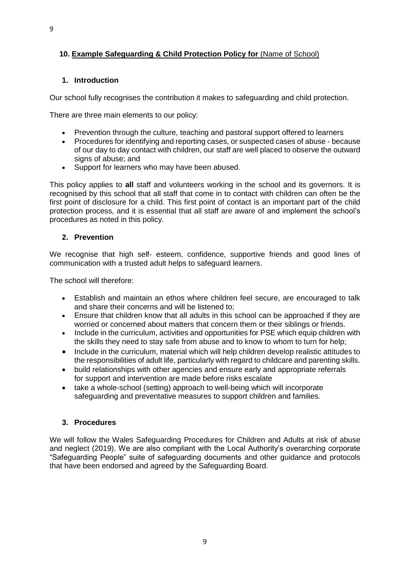#### **10. Example Safeguarding & Child Protection Policy for** (Name of School)

#### **1. Introduction**

Our school fully recognises the contribution it makes to safeguarding and child protection.

There are three main elements to our policy:

- Prevention through the culture, teaching and pastoral support offered to learners
- Procedures for identifying and reporting cases, or suspected cases of abuse because of our day to day contact with children, our staff are well placed to observe the outward signs of abuse; and
- Support for learners who may have been abused.

This policy applies to **all** staff and volunteers working in the school and its governors. It is recognised by this school that all staff that come in to contact with children can often be the first point of disclosure for a child. This first point of contact is an important part of the child protection process, and it is essential that all staff are aware of and implement the school's procedures as noted in this policy.

#### **2. Prevention**

We recognise that high self- esteem, confidence, supportive friends and good lines of communication with a trusted adult helps to safeguard learners.

The school will therefore:

- Establish and maintain an ethos where children feel secure, are encouraged to talk and share their concerns and will be listened to;
- Ensure that children know that all adults in this school can be approached if they are worried or concerned about matters that concern them or their siblings or friends.
- Include in the curriculum, activities and opportunities for PSE which equip children with the skills they need to stay safe from abuse and to know to whom to turn for help;
- Include in the curriculum, material which will help children develop realistic attitudes to the responsibilities of adult life, particularly with regard to childcare and parenting skills.
- build relationships with other agencies and ensure early and appropriate referrals for support and intervention are made before risks escalate
- take a whole-school (setting) approach to well-being which will incorporate safeguarding and preventative measures to support children and families.

#### **3. Procedures**

We will follow the Wales Safeguarding Procedures for Children and Adults at risk of abuse and neglect (2019). We are also compliant with the Local Authority's overarching corporate "Safeguarding People" suite of safeguarding documents and other guidance and protocols that have been endorsed and agreed by the Safeguarding Board.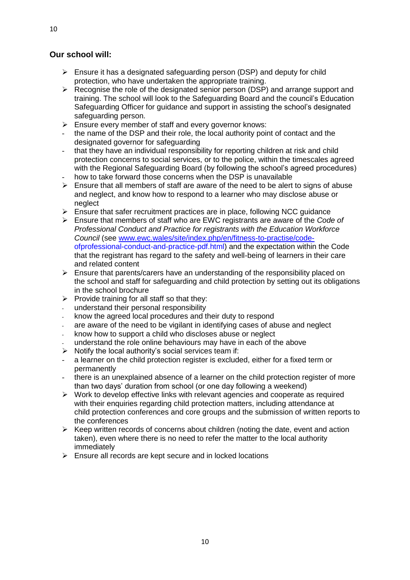#### **Our school will:**

- $\triangleright$  Ensure it has a designated safeguarding person (DSP) and deputy for child protection, who have undertaken the appropriate training.
- ➢ Recognise the role of the designated senior person (DSP) and arrange support and training. The school will look to the Safeguarding Board and the council's Education Safeguarding Officer for guidance and support in assisting the school's designated safeguarding person.
- ➢ Ensure every member of staff and every governor knows:
- the name of the DSP and their role, the local authority point of contact and the designated governor for safeguarding
- that they have an individual responsibility for reporting children at risk and child protection concerns to social services, or to the police, within the timescales agreed with the Regional Safeguarding Board (by following the school's agreed procedures)
- how to take forward those concerns when the DSP is unavailable  $\triangleright$  Ensure that all members of staff are aware of the need to be alert
- ➢ Ensure that all members of staff are aware of the need to be alert to signs of abuse and neglect, and know how to respond to a learner who may disclose abuse or neglect
- $\triangleright$  Ensure that safer recruitment practices are in place, following NCC quidance
- ➢ Ensure that members of staff who are EWC registrants are aware of the *Code of Professional Conduct and Practice for registrants with the Education Workforce Council* (see [www.ewc.wales/site/index.php/en/fitness-to-practise/code](http://www.ewc.wales/site/index.php/en/fitness-to-practise/code-)ofprofessional-conduct-and-practice-pdf.html) and the expectation within the Code that the registrant has regard to the safety and well-being of learners in their care and related content
- $\triangleright$  Ensure that parents/carers have an understanding of the responsibility placed on the school and staff for safeguarding and child protection by setting out its obligations in the school brochure
- $\triangleright$  Provide training for all staff so that they:
- understand their personal responsibility
- know the agreed local procedures and their duty to respond
- are aware of the need to be vigilant in identifying cases of abuse and neglect
- know how to support a child who discloses abuse or neglect
- understand the role online behaviours may have in each of the above
- $\triangleright$  Notify the local authority's social services team if:
- a learner on the child protection register is excluded, either for a fixed term or permanently
- there is an unexplained absence of a learner on the child protection register of more than two days' duration from school (or one day following a weekend)
- ➢ Work to develop effective links with relevant agencies and cooperate as required with their enquiries regarding child protection matters, including attendance at child protection conferences and core groups and the submission of written reports to the conferences
- ➢ Keep written records of concerns about children (noting the date, event and action taken), even where there is no need to refer the matter to the local authority immediately
- $\triangleright$  Ensure all records are kept secure and in locked locations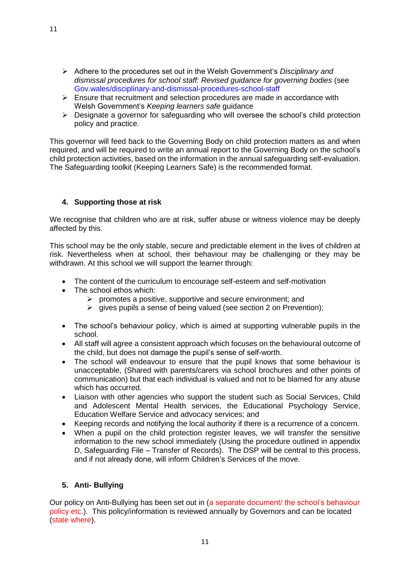- ➢ Adhere to the procedures set out in the Welsh Government's *Disciplinary and dismissal procedures for school staff: Revised guidance for governing bodies* (see Gov.wales/disciplinary-and-dismissal-procedures-school-staff
- ➢ Ensure that recruitment and selection procedures are made in accordance with Welsh Government's *Keeping learners safe* guidance
- $\triangleright$  Designate a governor for safeguarding who will oversee the school's child protection policy and practice.

This governor will feed back to the Governing Body on child protection matters as and when required, and will be required to write an annual report to the Governing Body on the school's child protection activities, based on the information in the annual safeguarding self-evaluation. The Safeguarding toolkit (Keeping Learners Safe) is the recommended format.

#### **4. Supporting those at risk**

We recognise that children who are at risk, suffer abuse or witness violence may be deeply affected by this.

This school may be the only stable, secure and predictable element in the lives of children at risk. Nevertheless when at school, their behaviour may be challenging or they may be withdrawn. At this school we will support the learner through:

- The content of the curriculum to encourage self-esteem and self-motivation
- The school ethos which:
	- ➢ promotes a positive, supportive and secure environment; and
	- ➢ gives pupils a sense of being valued (see section 2 on Prevention);
- The school's behaviour policy, which is aimed at supporting vulnerable pupils in the school.
- All staff will agree a consistent approach which focuses on the behavioural outcome of the child, but does not damage the pupil's sense of self-worth.
- The school will endeavour to ensure that the pupil knows that some behaviour is unacceptable, (Shared with parents/carers via school brochures and other points of communication) but that each individual is valued and not to be blamed for any abuse which has occurred.
- Liaison with other agencies who support the student such as Social Services, Child and Adolescent Mental Health services, the Educational Psychology Service, Education Welfare Service and advocacy services; and
- Keeping records and notifying the local authority if there is a recurrence of a concern.
- When a pupil on the child protection register leaves, we will transfer the sensitive information to the new school immediately (Using the procedure outlined in appendix D, Safeguarding File – Transfer of Records). The DSP will be central to this process, and if not already done, will inform Children's Services of the move.

#### **5. Anti- Bullying**

Our policy on Anti-Bullying has been set out in (a separate document/ the school's behaviour policy etc.). This policy/information is reviewed annually by Governors and can be located (state where).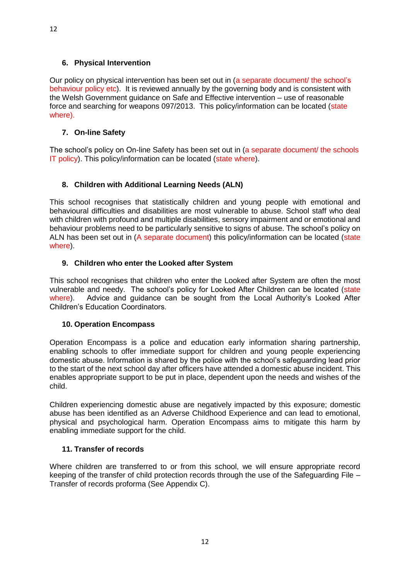#### **6. Physical Intervention**

Our policy on physical intervention has been set out in (a separate document/ the school's behaviour policy etc). It is reviewed annually by the governing body and is consistent with the Welsh Government guidance on Safe and Effective intervention – use of reasonable force and searching for weapons 097/2013. This policy/information can be located (state where).

#### **7. On-line Safety**

The school's policy on On-line Safety has been set out in (a separate document/ the schools IT policy). This policy/information can be located (state where).

#### **8. Children with Additional Learning Needs (ALN)**

This school recognises that statistically children and young people with emotional and behavioural difficulties and disabilities are most vulnerable to abuse. School staff who deal with children with profound and multiple disabilities, sensory impairment and or emotional and behaviour problems need to be particularly sensitive to signs of abuse. The school's policy on ALN has been set out in (A separate document) this policy/information can be located (state where).

#### **9. Children who enter the Looked after System**

This school recognises that children who enter the Looked after System are often the most vulnerable and needy. The school's policy for Looked After Children can be located (state where). Advice and guidance can be sought from the Local Authority's Looked After Children's Education Coordinators.

#### **10. Operation Encompass**

Operation Encompass is a police and education early information sharing partnership, enabling schools to offer immediate support for children and young people experiencing domestic abuse. Information is shared by the police with the school's safeguarding lead prior to the start of the next school day after officers have attended a domestic abuse incident. This enables appropriate support to be put in place, dependent upon the needs and wishes of the child.

Children experiencing domestic abuse are negatively impacted by this exposure; domestic abuse has been identified as an Adverse Childhood Experience and can lead to emotional, physical and psychological harm. Operation Encompass aims to mitigate this harm by enabling immediate support for the child.

#### **11. Transfer of records**

Where children are transferred to or from this school, we will ensure appropriate record keeping of the transfer of child protection records through the use of the Safeguarding File – Transfer of records proforma (See Appendix C).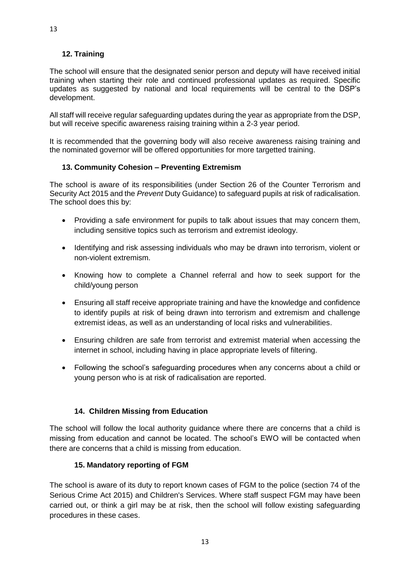#### **12. Training**

The school will ensure that the designated senior person and deputy will have received initial training when starting their role and continued professional updates as required. Specific updates as suggested by national and local requirements will be central to the DSP's development.

All staff will receive regular safeguarding updates during the year as appropriate from the DSP, but will receive specific awareness raising training within a 2-3 year period.

It is recommended that the governing body will also receive awareness raising training and the nominated governor will be offered opportunities for more targetted training.

#### **13. Community Cohesion – Preventing Extremism**

The school is aware of its responsibilities (under Section 26 of the Counter Terrorism and Security Act 2015 and the *Prevent* Duty Guidance) to safeguard pupils at risk of radicalisation. The school does this by:

- Providing a safe environment for pupils to talk about issues that may concern them, including sensitive topics such as terrorism and extremist ideology.
- Identifying and risk assessing individuals who may be drawn into terrorism, violent or non-violent extremism.
- Knowing how to complete a Channel referral and how to seek support for the child/young person
- Ensuring all staff receive appropriate training and have the knowledge and confidence to identify pupils at risk of being drawn into terrorism and extremism and challenge extremist ideas, as well as an understanding of local risks and vulnerabilities.
- Ensuring children are safe from terrorist and extremist material when accessing the internet in school, including having in place appropriate levels of filtering.
- Following the school's safeguarding procedures when any concerns about a child or young person who is at risk of radicalisation are reported.

#### **14. Children Missing from Education**

The school will follow the local authority guidance where there are concerns that a child is missing from education and cannot be located. The school's EWO will be contacted when there are concerns that a child is missing from education.

#### **15. Mandatory reporting of FGM**

The school is aware of its duty to report known cases of FGM to the police (section 74 of the Serious Crime Act 2015) and Children's Services. Where staff suspect FGM may have been carried out, or think a girl may be at risk, then the school will follow existing safeguarding procedures in these cases.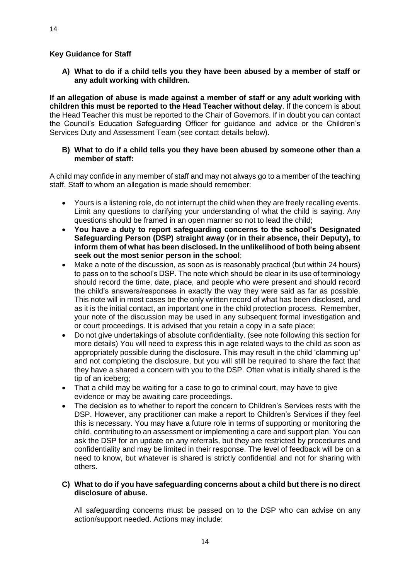**A) What to do if a child tells you they have been abused by a member of staff or any adult working with children.** 

**If an allegation of abuse is made against a member of staff or any adult working with children this must be reported to the Head Teacher without delay**. If the concern is about the Head Teacher this must be reported to the Chair of Governors. If in doubt you can contact the Council's Education Safeguarding Officer for guidance and advice or the Children's Services Duty and Assessment Team (see contact details below).

#### **B) What to do if a child tells you they have been abused by someone other than a member of staff:**

A child may confide in any member of staff and may not always go to a member of the teaching staff. Staff to whom an allegation is made should remember:

- Yours is a listening role, do not interrupt the child when they are freely recalling events. Limit any questions to clarifying your understanding of what the child is saying. Any questions should be framed in an open manner so not to lead the child;
- **You have a duty to report safeguarding concerns to the school's Designated Safeguarding Person (DSP) straight away (or in their absence, their Deputy), to inform them of what has been disclosed. In the unlikelihood of both being absent seek out the most senior person in the school**;
- Make a note of the discussion, as soon as is reasonably practical (but within 24 hours) to pass on to the school's DSP. The note which should be clear in its use of terminology should record the time, date, place, and people who were present and should record the child's answers/responses in exactly the way they were said as far as possible. This note will in most cases be the only written record of what has been disclosed, and as it is the initial contact, an important one in the child protection process. Remember, your note of the discussion may be used in any subsequent formal investigation and or court proceedings. It is advised that you retain a copy in a safe place;
- Do not give undertakings of absolute confidentiality. (see note following this section for more details) You will need to express this in age related ways to the child as soon as appropriately possible during the disclosure. This may result in the child 'clamming up' and not completing the disclosure, but you will still be required to share the fact that they have a shared a concern with you to the DSP. Often what is initially shared is the tip of an iceberg;
- That a child may be waiting for a case to go to criminal court, may have to give evidence or may be awaiting care proceedings.
- The decision as to whether to report the concern to Children's Services rests with the DSP. However, any practitioner can make a report to Children's Services if they feel this is necessary. You may have a future role in terms of supporting or monitoring the child, contributing to an assessment or implementing a care and support plan. You can ask the DSP for an update on any referrals, but they are restricted by procedures and confidentiality and may be limited in their response. The level of feedback will be on a need to know, but whatever is shared is strictly confidential and not for sharing with others.

#### **C) What to do if you have safeguarding concerns about a child but there is no direct disclosure of abuse.**

All safeguarding concerns must be passed on to the DSP who can advise on any action/support needed. Actions may include: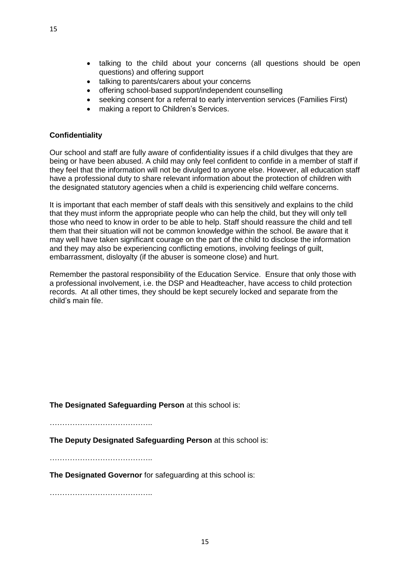- talking to the child about your concerns (all questions should be open questions) and offering support
- talking to parents/carers about your concerns
- offering school-based support/independent counselling
- seeking consent for a referral to early intervention services (Families First)
- making a report to Children's Services.

#### **Confidentiality**

Our school and staff are fully aware of confidentiality issues if a child divulges that they are being or have been abused. A child may only feel confident to confide in a member of staff if they feel that the information will not be divulged to anyone else. However, all education staff have a professional duty to share relevant information about the protection of children with the designated statutory agencies when a child is experiencing child welfare concerns.

It is important that each member of staff deals with this sensitively and explains to the child that they must inform the appropriate people who can help the child, but they will only tell those who need to know in order to be able to help. Staff should reassure the child and tell them that their situation will not be common knowledge within the school. Be aware that it may well have taken significant courage on the part of the child to disclose the information and they may also be experiencing conflicting emotions, involving feelings of guilt, embarrassment, disloyalty (if the abuser is someone close) and hurt.

Remember the pastoral responsibility of the Education Service. Ensure that only those with a professional involvement, i.e. the DSP and Headteacher, have access to child protection records. At all other times, they should be kept securely locked and separate from the child's main file.

**The Designated Safeguarding Person** at this school is:

…………………………………..

**The Deputy Designated Safeguarding Person** at this school is:

…………………………………..

**The Designated Governor** for safeguarding at this school is:

…………………………………..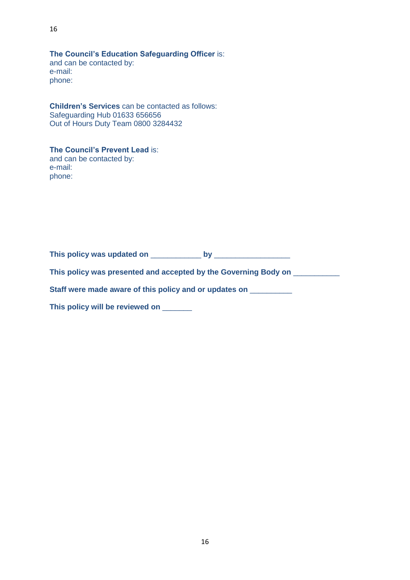**The Council's Education Safeguarding Officer** is: and can be contacted by: e-mail: phone:

**Children's Services** can be contacted as follows: Safeguarding Hub 01633 656656 Out of Hours Duty Team 0800 3284432

#### **The Council's Prevent Lead** is: and can be contacted by: e-mail: phone:

**This policy was updated on** \_\_\_\_\_\_\_\_\_\_\_\_ **by** \_\_\_\_\_\_\_\_\_\_\_\_\_\_\_\_\_\_

**This policy was presented and accepted by the Governing Body on** \_\_\_\_\_\_\_\_\_\_\_

**Staff were made aware of this policy and or updates on** \_\_\_\_\_\_\_\_\_\_

**This policy will be reviewed on** \_\_\_\_\_\_\_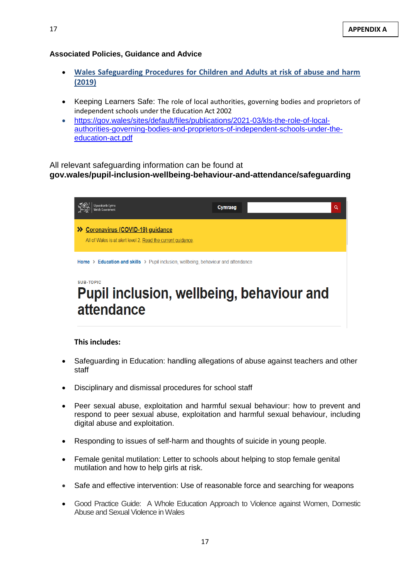#### **Associated Policies, Guidance and Advice**

- **[Wales Safeguarding Procedures](https://eur03.safelinks.protection.outlook.com/?url=https%3A%2F%2Fsafeguarding.wales%2F&data=02%7C01%7Cjanice.dent%40newport.gov.uk%7C75b25b2cb1e940cf022708d821bbb903%7C2c4d0079c52c4bb3b3cad8eaf1b6b7d5%7C0%7C1%7C637296437451936515&sdata=gffkEmE8lWq5Qi2DhI1E3uxA435f9A4KrAtk%2FuulOZQ%3D&reserved=0) for Children and Adults at risk of abuse and harm (2019)**
- Keeping Learners Safe: The role of local authorities, governing bodies and proprietors of independent schools under the Education Act 2002
- [https://gov.wales/sites/default/files/publications/2021-03/kls-the-role-of-local](https://gov.wales/sites/default/files/publications/2021-03/kls-the-role-of-local-authorities-governing-bodies-and-proprietors-of-independent-schools-under-the-education-act.pdf)[authorities-governing-bodies-and-proprietors-of-independent-schools-under-the](https://gov.wales/sites/default/files/publications/2021-03/kls-the-role-of-local-authorities-governing-bodies-and-proprietors-of-independent-schools-under-the-education-act.pdf)[education-act.pdf](https://gov.wales/sites/default/files/publications/2021-03/kls-the-role-of-local-authorities-governing-bodies-and-proprietors-of-independent-schools-under-the-education-act.pdf)

#### All relevant safeguarding information can be found at **gov.wales/pupil-inclusion-wellbeing-behaviour-and-attendance/safeguarding**

| Iwvodraeth Cymru                                                                                   | Cymraeg | Q |  |  |
|----------------------------------------------------------------------------------------------------|---------|---|--|--|
| >> Coronavirus (COVID-19) guidance<br>All of Wales is at alert level 2. Read the current quidance. |         |   |  |  |
| <b>Home &gt; Education and skills &gt;</b> Pupil inclusion, wellbeing, behaviour and attendance    |         |   |  |  |
| <b>SUB-TOPIC</b><br>Pupil inclusion, wellbeing, behaviour and<br>attendance                        |         |   |  |  |

#### **This includes:**

- Safeguarding in Education: handling allegations of abuse against teachers and other staff
- Disciplinary and dismissal procedures for school staff
- [Peer sexual abuse, exploitation and harmful sexual behaviour:](https://gov.wales/peer-sexual-abuse-exploitation-and-harmful-sexual-behaviour) how to prevent and respond to peer sexual abuse, exploitation and harmful sexual behaviour, including digital abuse and exploitation.
- Responding to issues of self-harm and thoughts of suicide in young people.
- [Female genital mutilation:](https://gov.wales/female-genital-mutilation) Letter to schools about helping to stop female genital mutilation and how to help girls at risk.
- Safe and effective intervention: Use of reasonable force and searching for weapons
- Good Practice Guide: A Whole Education Approach to Violence against Women, Domestic Abuse and Sexual Violence in Wales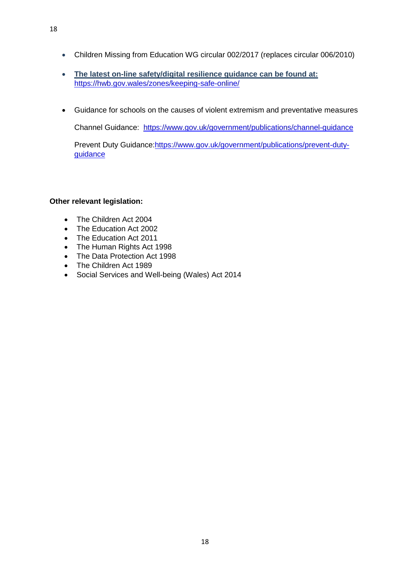- Children Missing from Education WG circular 002/2017 (replaces circular 006/2010)
- **The latest on-line safety/digital resilience guidance can be found at:** <https://hwb.gov.wales/zones/keeping-safe-online/>
- Guidance for schools on the causes of violent extremism and preventative measures

Channel Guidance: <https://www.gov.uk/government/publications/channel-guidance>

Prevent Duty Guidance: https://www.gov.uk/government/publications/prevent-duty[guidance](https://www.gov.uk/government/publications/prevent-duty-guidance)

#### **Other relevant legislation:**

- The Children Act 2004
- The Education Act 2002
- The Education Act 2011
- The Human Rights Act 1998
- The Data Protection Act 1998
- The Children Act 1989
- Social Services and Well-being (Wales) Act 2014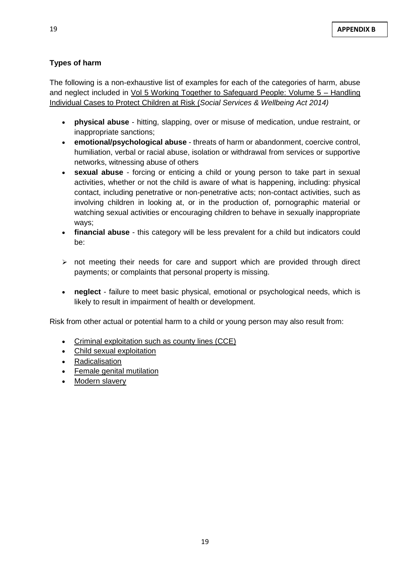## **Types of harm**

The following is a non-exhaustive list of examples for each of the categories of harm, abuse and neglect included in [Vol 5 Working Together to Safeguard People: Volume 5 –](https://socialcare.wales/hub/statutory-guidance) Handling [Individual Cases to Protect Children at Risk](https://socialcare.wales/hub/statutory-guidance) (*Social Services & Wellbeing Act 2014)*

- **[physical abuse](https://safeguarding.wales/chi/c1/c1.p4.html#tooltip)** hitting, slapping, over or misuse of medication, undue restraint, or inappropriate sanctions;
- **emotional/psychological abuse** threats of harm or abandonment, coercive control, humiliation, verbal or racial abuse, isolation or withdrawal from services or supportive networks, witnessing abuse of others
- **sexual abuse** forcing or enticing a child or young person to take part in sexual activities, whether or not the child is aware of what is happening, including: physical contact, including penetrative or non-penetrative acts; non-contact activities, such as involving children in looking at, or in the production of, pornographic material or watching sexual activities or encouraging children to behave in sexually inappropriate ways;
- **[financial abuse](https://safeguarding.wales/chi/c1/c1.p4.html#tooltip)** this category will be less prevalent for a child but indicators could be:
- $\triangleright$  not meeting their needs for care and support which are provided through direct payments; or complaints that personal property is missing.
- **neglect** failure to meet basic physical, emotional or psychological needs, which is likely to result in impairment of health or development.

Risk from other actual or potential harm to a child or young person may also result from:

- [Criminal exploitation such as county lines \(CCE\)](https://safeguarding.wales/chi/c6/c6.p1.html)
- [Child sexual exploitation](https://safeguarding.wales/chi/c6/c6.p10.html)
- [Radicalisation](https://safeguarding.wales/chi/c6/c6.p6.html)
- **[Female genital mutilation](https://safeguarding.wales/chi/c6/c6.p2.html)**
- [Modern slavery](https://safeguarding.wales/chi/c6/c6.p3.html)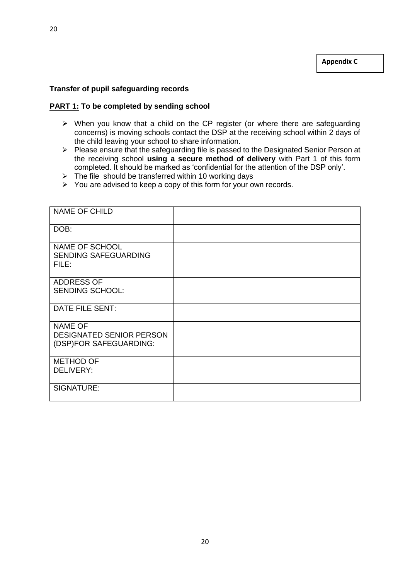#### **Transfer of pupil safeguarding records**

#### **PART 1: To be completed by sending school**

- ➢ When you know that a child on the CP register (or where there are safeguarding concerns) is moving schools contact the DSP at the receiving school within 2 days of the child leaving your school to share information.
- ➢ Please ensure that the safeguarding file is passed to the Designated Senior Person at the receiving school **using a secure method of delivery** with Part 1 of this form completed. It should be marked as 'confidential for the attention of the DSP only'.
- $\triangleright$  The file should be transferred within 10 working days
- ➢ You are advised to keep a copy of this form for your own records.

| NAME OF CHILD                                                               |  |
|-----------------------------------------------------------------------------|--|
| DOB:                                                                        |  |
| NAME OF SCHOOL<br><b>SENDING SAFEGUARDING</b><br>FILE:                      |  |
| <b>ADDRESS OF</b><br><b>SENDING SCHOOL:</b>                                 |  |
| DATE FILE SENT:                                                             |  |
| <b>NAME OF</b><br><b>DESIGNATED SENIOR PERSON</b><br>(DSP)FOR SAFEGUARDING: |  |
| <b>METHOD OF</b><br><b>DELIVERY:</b>                                        |  |
| SIGNATURE:                                                                  |  |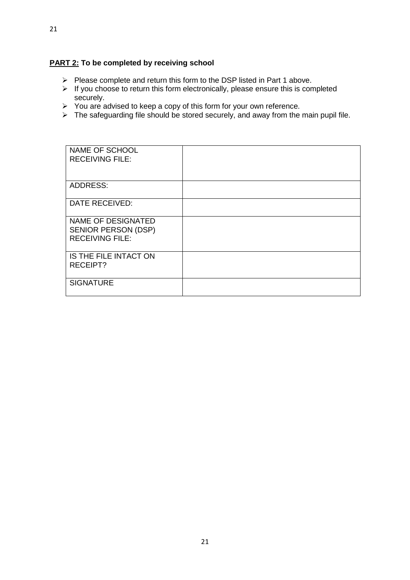#### **PART 2: To be completed by receiving school**

- ➢ Please complete and return this form to the DSP listed in Part 1 above.
- ➢ If you choose to return this form electronically, please ensure this is completed securely.
- $\triangleright$  You are advised to keep a copy of this form for your own reference.
- $\triangleright$  The safeguarding file should be stored securely, and away from the main pupil file.

| NAME OF SCHOOL<br><b>RECEIVING FILE:</b>                                   |  |
|----------------------------------------------------------------------------|--|
| ADDRESS:                                                                   |  |
| <b>DATE RECEIVED:</b>                                                      |  |
| NAME OF DESIGNATED<br><b>SENIOR PERSON (DSP)</b><br><b>RECEIVING FILE:</b> |  |
| IS THE FILE INTACT ON<br><b>RECEIPT?</b>                                   |  |
| <b>SIGNATURE</b>                                                           |  |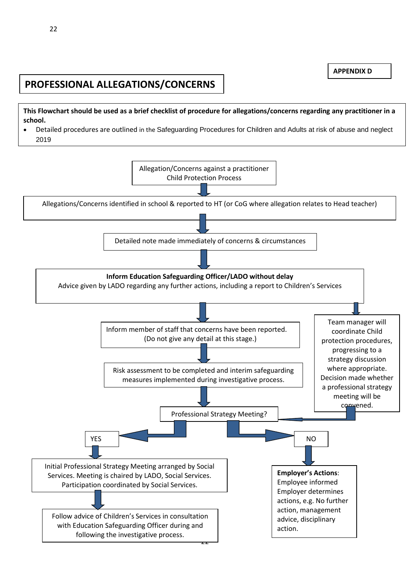**APPENDIX D**

# **PROFESSIONAL ALLEGATIONS/CONCERNS**

**This Flowchart should be used as a brief checklist of procedure for allegations/concerns regarding any practitioner in a school.** 

• Detailed procedures are outlined in the Safeguarding Procedures for Children and Adults at risk of abuse and neglect 2019